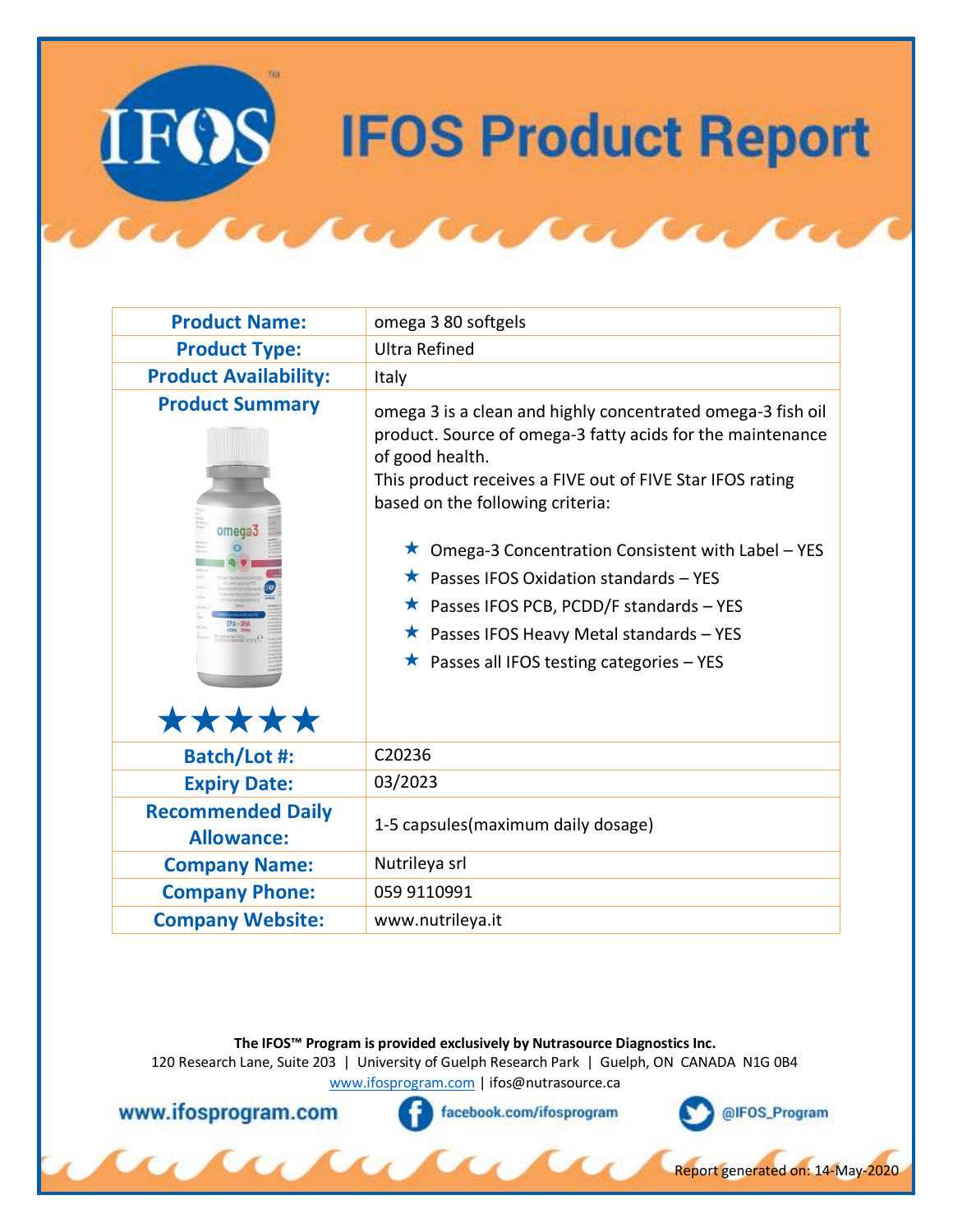## **IFOS Product Report**

| <b>Product Name:</b>                          | omega 3 80 softgels                                                                                                                                                                                                                                                                                                                                                                                                                                                                                             |
|-----------------------------------------------|-----------------------------------------------------------------------------------------------------------------------------------------------------------------------------------------------------------------------------------------------------------------------------------------------------------------------------------------------------------------------------------------------------------------------------------------------------------------------------------------------------------------|
| <b>Product Type:</b>                          | <b>Ultra Refined</b>                                                                                                                                                                                                                                                                                                                                                                                                                                                                                            |
| <b>Product Availability:</b>                  | Italy                                                                                                                                                                                                                                                                                                                                                                                                                                                                                                           |
| <b>Product Summary</b><br>omega3<br>*****     | omega 3 is a clean and highly concentrated omega-3 fish oil<br>product. Source of omega-3 fatty acids for the maintenance<br>of good health.<br>This product receives a FIVE out of FIVE Star IFOS rating<br>based on the following criteria:<br>$\star$ Omega-3 Concentration Consistent with Label – YES<br>$\star$ Passes IFOS Oxidation standards – YES<br>$\star$ Passes IFOS PCB, PCDD/F standards - YES<br>★ Passes IFOS Heavy Metal standards - YES<br>$\star$ Passes all IFOS testing categories - YES |
| <b>Batch/Lot #:</b>                           | C20236                                                                                                                                                                                                                                                                                                                                                                                                                                                                                                          |
| <b>Expiry Date:</b>                           | 03/2023                                                                                                                                                                                                                                                                                                                                                                                                                                                                                                         |
| <b>Recommended Daily</b><br><b>Allowance:</b> | 1-5 capsules (maximum daily dosage)                                                                                                                                                                                                                                                                                                                                                                                                                                                                             |
| <b>Company Name:</b>                          | Nutrileya srl                                                                                                                                                                                                                                                                                                                                                                                                                                                                                                   |
| <b>Company Phone:</b>                         | 059 9110991                                                                                                                                                                                                                                                                                                                                                                                                                                                                                                     |
| <b>Company Website:</b>                       | www.nutrileya.it                                                                                                                                                                                                                                                                                                                                                                                                                                                                                                |
|                                               |                                                                                                                                                                                                                                                                                                                                                                                                                                                                                                                 |

**The IFOS™ Program is provided exclusively by Nutrasource Diagnostics Inc.**

120 Research Lane, Suite 203 | University of Guelph Research Park | Guelph, ON CANADA N1G 0B4 [www.ifosprogram.com](http://www.ifosprogram.com/) [| ifos@nutrasource.ca](mailto:ifos@nutrasource.ca)

 $\alpha\alpha$ 

www.ifosprogram.com

facebook.com/ifosprogram



Report generated on: 14-May-2020